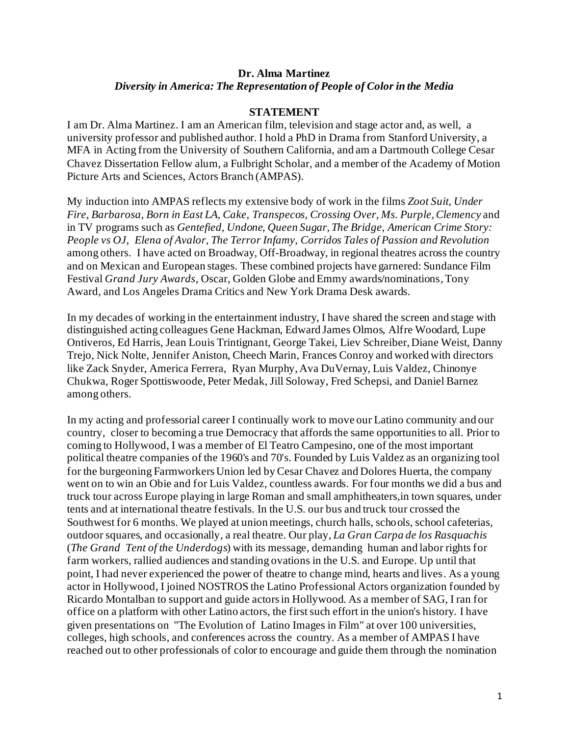## **Dr. Alma Martinez** *Diversity in America: The Representation of People of Color in the Media*

## **STATEMENT**

I am Dr. Alma Martinez. I am an American film, television and stage actor and, as well, a university professor and published author. I hold a PhD in Drama from Stanford University, a MFA in Acting from the University of Southern California, and am a Dartmouth College Cesar Chavez Dissertation Fellow alum, a Fulbright Scholar, and a member of the Academy of Motion Picture Arts and Sciences, Actors Branch (AMPAS).

My induction into AMPAS reflects my extensive body of work in the films *Zoot Suit, Under Fire, Barbarosa, Born in East LA, Cake, Transpecos, Crossing Over, Ms. Purple, Clemency* and in TV programs such as *Gentefied, Undone, Queen Sugar, The Bridge, American Crime Story: People vs OJ, Elena of Avalor, The Terror Infamy, Corridos Tales of Passion and Revolution* among others. I have acted on Broadway, Off-Broadway, in regional theatres across the country and on Mexican and European stages. These combined projects have garnered: Sundance Film Festival *Grand Jury Awards*, Oscar, Golden Globe and Emmy awards/nominations,Tony Award, and Los Angeles Drama Critics and New York Drama Desk awards.

In my decades of working in the entertainment industry, I have shared the screen and stage with distinguished acting colleagues Gene Hackman, Edward James Olmos, Alfre Woodard, Lupe Ontiveros, Ed Harris, Jean Louis Trintignant, George Takei, Liev Schreiber, Diane Weist, Danny Trejo, Nick Nolte, Jennifer Aniston, Cheech Marin, Frances Conroy and worked with directors like Zack Snyder, America Ferrera, Ryan Murphy, Ava DuVernay, Luis Valdez, Chinonye Chukwa, Roger Spottiswoode, Peter Medak, Jill Soloway, Fred Schepsi, and Daniel Barnez among others.

In my acting and professorial career I continually work to move our Latino community and our country, closer to becoming a true Democracy that affords the same opportunities to all. Prior to coming to Hollywood, I was a member of El Teatro Campesino, one of the most important political theatre companies of the 1960's and 70's. Founded by Luis Valdez as an organizing tool for the burgeoning Farmworkers Union led by Cesar Chavez and Dolores Huerta, the company went on to win an Obie and for Luis Valdez, countless awards. For four months we did a bus and truck tour across Europe playing in large Roman and small amphitheaters,in town squares, under tents and at international theatre festivals. In the U.S. our bus and truck tour crossed the Southwest for 6 months. We played at union meetings, church halls, schools, school cafeterias, outdoor squares, and occasionally, a real theatre. Our play, *La Gran Carpa de los Rasquachis* (*The Grand Tent of the Underdogs*) with its message, demanding human and labor rights for farm workers, rallied audiences and standing ovations in the U.S. and Europe. Up until that point, I had never experienced the power of theatre to change mind, hearts and lives. As a young actor in Hollywood, I joined NOSTROS the Latino Professional Actors organization founded by Ricardo Montalban to support and guide actors in Hollywood. As a member of SAG, I ran for office on a platform with other Latino actors, the first such effort in the union's history. I have given presentations on "The Evolution of Latino Images in Film" at over 100 universities, colleges, high schools, and conferences across the country. As a member of AMPAS I have reached out to other professionals of color to encourage and guide them through the nomination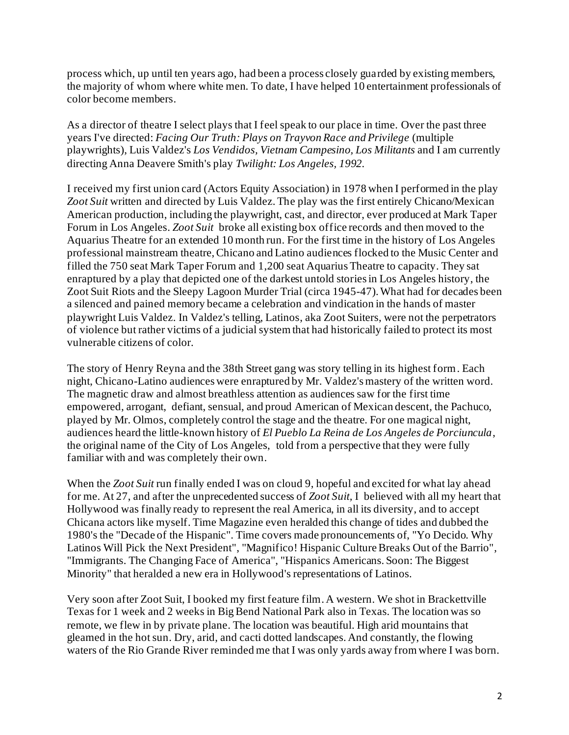process which, up until ten years ago, had been a process closely guarded by existing members, the majority of whom where white men. To date, I have helped 10 entertainment professionals of color become members.

As a director of theatre I select plays that I feel speak to our place in time. Over the past three years I've directed: *Facing Our Truth: Plays on Trayvon Race and Privilege* (multiple playwrights), Luis Valdez's *Los Vendidos, Vietnam Campesino, Los Militants* and I am currently directing Anna Deavere Smith's play *Twilight: Los Angeles, 1992.* 

I received my first union card (Actors Equity Association) in 1978 when I performed in the play *Zoot Suit* written and directed by Luis Valdez. The play was the first entirely Chicano/Mexican American production, including the playwright, cast, and director, ever produced at Mark Taper Forum in Los Angeles. *Zoot Suit* broke all existing box office records and then moved to the Aquarius Theatre for an extended 10 month run. For the first time in the history of Los Angeles professional mainstream theatre, Chicano and Latino audiences flocked to the Music Center and filled the 750 seat Mark Taper Forum and 1,200 seat Aquarius Theatre to capacity. They sat enraptured by a play that depicted one of the darkest untold storiesin Los Angeles history, the Zoot Suit Riots and the Sleepy Lagoon Murder Trial (circa 1945-47). What had for decades been a silenced and pained memory became a celebration and vindication in the hands of master playwright Luis Valdez. In Valdez's telling, Latinos, aka Zoot Suiters, were not the perpetrators of violence but rather victims of a judicial system that had historically failed to protect its most vulnerable citizens of color.

The story of Henry Reyna and the 38th Street gang was story telling in its highest form. Each night, Chicano-Latino audiences were enraptured by Mr. Valdez's mastery of the written word. The magnetic draw and almost breathless attention as audiences saw for the first time empowered, arrogant, defiant, sensual, and proud American of Mexican descent, the Pachuco, played by Mr. Olmos, completely control the stage and the theatre. For one magical night, audiences heard the little-known history of *El Pueblo La Reina de Los Angeles de Porciuncula*, the original name of the City of Los Angeles, told from a perspective that they were fully familiar with and was completely their own.

When the *Zoot Suit* run finally ended I was on cloud 9, hopeful and excited for what lay ahead for me. At 27, and after the unprecedented success of *Zoot Suit,* I believed with all my heart that Hollywood was finally ready to represent the real America, in all its diversity, and to accept Chicana actors like myself. Time Magazine even heralded this change of tides and dubbed the 1980's the "Decade of the Hispanic". Time covers made pronouncements of, "Yo Decido. Why Latinos Will Pick the Next President", "Magnifico! Hispanic Culture Breaks Out of the Barrio", "Immigrants. The Changing Face of America", "Hispanics Americans. Soon: The Biggest Minority" that heralded a new era in Hollywood's representations of Latinos.

Very soon after Zoot Suit, I booked my first feature film. A western. We shot in Brackettville Texas for 1 week and 2 weeks in Big Bend National Park also in Texas. The location was so remote, we flew in by private plane. The location was beautiful. High arid mountains that gleamed in the hot sun. Dry, arid, and cacti dotted landscapes. And constantly, the flowing waters of the Rio Grande River reminded me that I was only yards away from where I was born.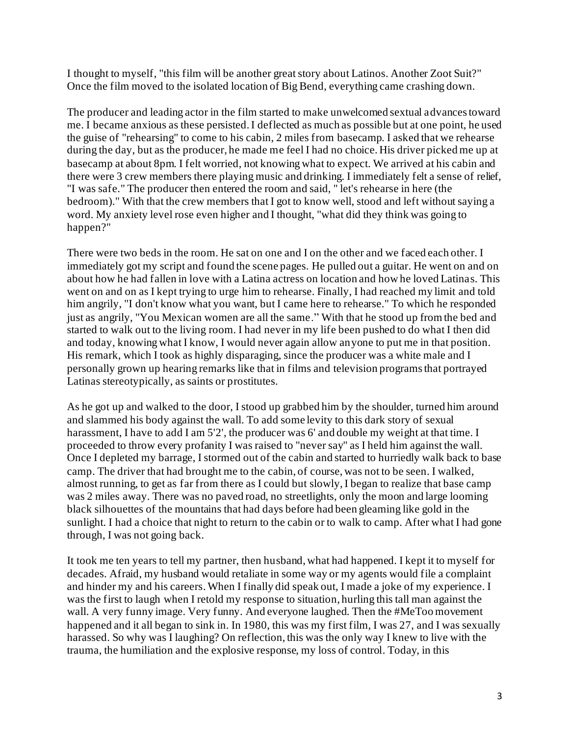I thought to myself, "this film will be another great story about Latinos. Another Zoot Suit?" Once the film moved to the isolated location of Big Bend, everything came crashing down.

The producer and leading actor in the film started to make unwelcomed sextual advances toward me. I became anxious as these persisted. I deflected as much as possible but at one point, he used the guise of "rehearsing" to come to his cabin, 2 miles from basecamp. I asked that we rehearse during the day, but as the producer, he made me feel I had no choice. His driver picked me up at basecamp at about 8pm. I felt worried, not knowing what to expect. We arrived at his cabin and there were 3 crew members there playing music and drinking. I immediately felt a sense of relief, "I was safe." The producer then entered the room and said, " let's rehearse in here (the bedroom)." With that the crew members that I got to know well, stood and left without saying a word. My anxiety level rose even higher and I thought, "what did they think was going to happen?"

There were two beds in the room. He sat on one and I on the other and we faced each other. I immediately got my script and found the scene pages. He pulled out a guitar. He went on and on about how he had fallen in love with a Latina actress on location and how he loved Latinas. This went on and on as I kept trying to urge him to rehearse. Finally, I had reached my limit and told him angrily, "I don't know what you want, but I came here to rehearse." To which he responded just as angrily, "You Mexican women are all the same." With that he stood up from the bed and started to walk out to the living room. I had never in my life been pushed to do what I then did and today, knowing what I know, I would never again allow anyone to put me in that position. His remark, which I took as highly disparaging, since the producer was a white male and I personally grown up hearing remarks like that in films and television programs that portrayed Latinas stereotypically, as saints or prostitutes.

As he got up and walked to the door, I stood up grabbed him by the shoulder, turned him around and slammed his body against the wall. To add some levity to this dark story of sexual harassment, I have to add I am 5'2', the producer was 6' and double my weight at that time. I proceeded to throw every profanity I was raised to "never say" as I held him against the wall. Once I depleted my barrage, I stormed out of the cabin and started to hurriedly walk back to base camp. The driver that had brought me to the cabin, of course, was not to be seen. I walked, almost running, to get as far from there as I could but slowly,I began to realize that base camp was 2 miles away. There was no paved road, no streetlights, only the moon and large looming black silhouettes of the mountains that had days before had been gleaming like gold in the sunlight. I had a choice that night to return to the cabin or to walk to camp. After what I had gone through, I was not going back.

It took me ten years to tell my partner, then husband, what had happened. I kept it to myself for decades. Afraid, my husband would retaliate in some way or my agents would file a complaint and hinder my and his careers. When I finally did speak out, I made a joke of my experience. I was the first to laugh when I retold my response to situation, hurling this tall man against the wall. A very funny image. Very funny. And everyone laughed. Then the #MeToo movement happened and it all began to sink in. In 1980, this was my first film, I was 27, and I was sexually harassed. So why was I laughing? On reflection, this was the only way I knew to live with the trauma, the humiliation and the explosive response, my loss of control. Today, in this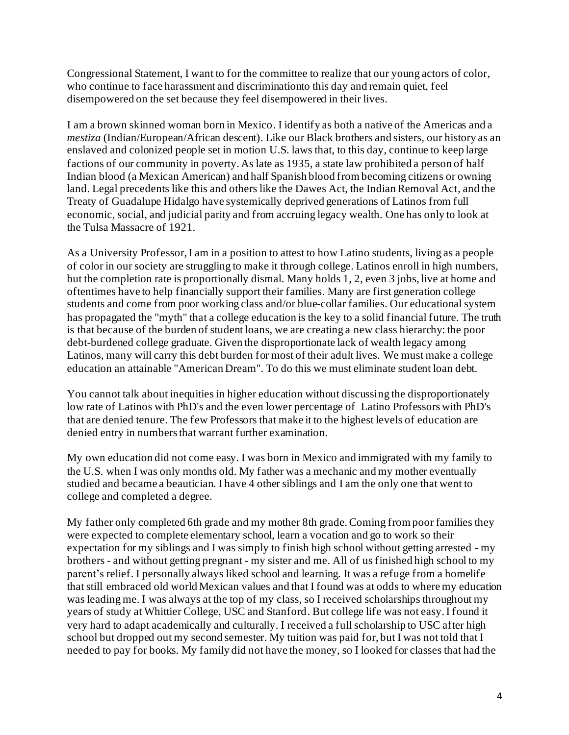Congressional Statement, I want to for the committee to realize that our young actors of color, who continue to face harassment and discriminationto this day and remain quiet, feel disempowered on the set because they feel disempowered in their lives.

I am a brown skinned woman born in Mexico. I identify as both a native of the Americas and a *mestiza* (Indian/European/African descent). Like our Black brothers and sisters, our history as an enslaved and colonized people set in motion U.S. laws that, to this day, continue to keep large factions of our community in poverty. As late as 1935, a state law prohibited a person of half Indian blood (a Mexican American) and half Spanish blood from becoming citizens or owning land. Legal precedents like this and others like the Dawes Act, the Indian Removal Act, and the Treaty of Guadalupe Hidalgo have systemically deprived generations of Latinos from full economic, social, and judicial parity and from accruing legacy wealth. One has only to look at the Tulsa Massacre of 1921.

As a University Professor, I am in a position to attest to how Latino students, living as a people of color in our society are struggling to make it through college. Latinos enroll in high numbers, but the completion rate is proportionally dismal. Many holds 1, 2, even 3 jobs, live at home and oftentimes have to help financially support their families. Many are first generation college students and come from poor working class and/or blue-collar families. Our educational system has propagated the "myth" that a college education is the key to a solid financial future. The truth is that because of the burden of student loans, we are creating a new class hierarchy: the poor debt-burdened college graduate. Given the disproportionate lack of wealth legacy among Latinos, many will carry this debt burden for most of their adult lives. We must make a college education an attainable "American Dream". To do this we must eliminate student loan debt.

You cannot talk about inequities in higher education without discussing the disproportionately low rate of Latinos with PhD's and the even lower percentage of Latino Professors with PhD's that are denied tenure. The few Professors that make it to the highest levels of education are denied entry in numbers that warrant further examination.

My own education did not come easy. I was born in Mexico and immigrated with my family to the U.S. when I was only months old. My father was a mechanic and my mother eventually studied and became a beautician. I have 4 other siblings and I am the only one that went to college and completed a degree.

My father only completed 6th grade and my mother 8th grade. Coming from poor families they were expected to complete elementary school, learn a vocation and go to work so their expectation for my siblings and I was simply to finish high school without getting arrested - my brothers - and without getting pregnant - my sister and me. All of us finished high school to my parent's relief. I personally always liked school and learning. It was a refuge from a homelife that still embraced old world Mexican values and that I found was at odds to where my education was leading me. I was always at the top of my class, so I received scholarships throughout my years of study at Whittier College, USC and Stanford. But college life was not easy. I found it very hard to adapt academically and culturally. I received a full scholarship to USC after high school but dropped out my second semester. My tuition was paid for, but I was not told that I needed to pay for books. My family did not have the money, so I looked for classes that had the